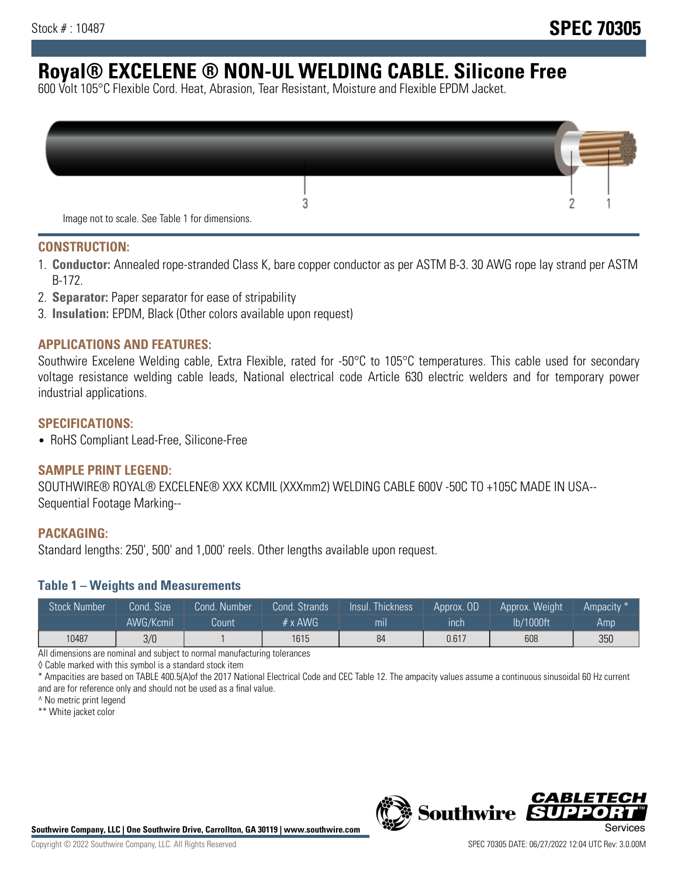# **Royal® EXCELENE ® NON-UL WELDING CABLE. Silicone Free**

600 Volt 105°C Flexible Cord. Heat, Abrasion, Tear Resistant, Moisture and Flexible EPDM Jacket.

| Image not to scale. See Table 1 for dimensions. |  |
|-------------------------------------------------|--|

#### **CONSTRUCTION:**

- 1. **Conductor:** Annealed rope-stranded Class K, bare copper conductor as per ASTM B-3. 30 AWG rope lay strand per ASTM B-172.
- 2. **Separator:** Paper separator for ease of stripability
- 3. **Insulation:** EPDM, Black (Other colors available upon request)

#### **APPLICATIONS AND FEATURES:**

Southwire Excelene Welding cable, Extra Flexible, rated for -50°C to 105°C temperatures. This cable used for secondary voltage resistance welding cable leads, National electrical code Article 630 electric welders and for temporary power industrial applications.

#### **SPECIFICATIONS:**

• RoHS Compliant Lead-Free, Silicone-Free

#### **SAMPLE PRINT LEGEND:**

SOUTHWIRE® ROYAL® EXCELENE® XXX KCMIL (XXXmm2) WELDING CABLE 600V -50C TO +105C MADE IN USA-- Sequential Footage Marking--

#### **PACKAGING:**

Standard lengths: 250', 500' and 1,000' reels. Other lengths available upon request.

#### **Table 1 – Weights and Measurements**

| <b>Stock Number</b> | Cond. Size' | Cond. Number | Cond. Strands  | Insul. Thickness | Approx. OD | Approx. Weight | Ampacity * |
|---------------------|-------------|--------------|----------------|------------------|------------|----------------|------------|
|                     | AWG/Kcmil   | Count        | $# \times$ AWG | m <sub>l</sub>   | inch       | lb/1000ft      | Amp        |
| 10487               | 3/0         |              | 1615           | 84               | 0.617      | 608            | 350        |

All dimensions are nominal and subject to normal manufacturing tolerances

◊ Cable marked with this symbol is a standard stock item

\* Ampacities are based on TABLE 400.5(A)of the 2017 National Electrical Code and CEC Table 12. The ampacity values assume a continuous sinusoidal 60 Hz current and are for reference only and should not be used as a final value.

^ No metric print legend

\*\* White jacket color



*CABLE*